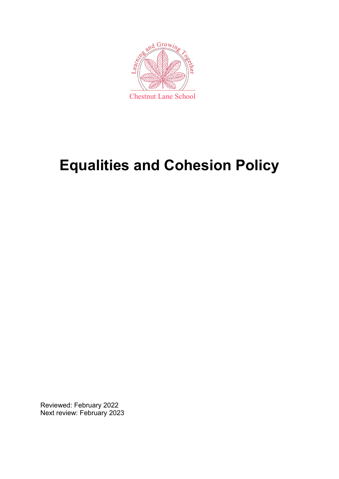

# **Equalities and Cohesion Policy**

Reviewed: February 2022 Next review: February 2023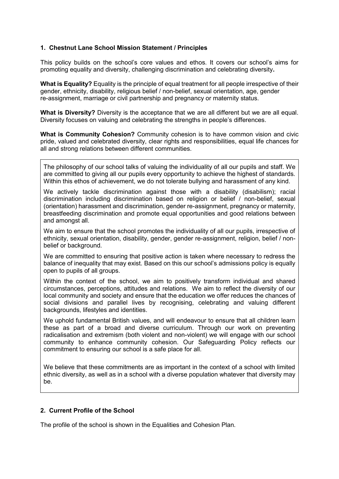# **1. Chestnut Lane School Mission Statement / Principles**

This policy builds on the school's core values and ethos. It covers our school's aims for promoting equality and diversity, challenging discrimination and celebrating diversity**.** 

**What is Equality?** Equality is the principle of equal treatment for all people irrespective of their gender, ethnicity, disability, religious belief / non-belief, sexual orientation, age, gender re-assignment, marriage or civil partnership and pregnancy or maternity status.

**What is Diversity?** Diversity is the acceptance that we are all different but we are all equal. Diversity focuses on valuing and celebrating the strengths in people's differences.

**What is Community Cohesion?** Community cohesion is to have common vision and civic pride, valued and celebrated diversity, clear rights and responsibilities, equal life chances for all and strong relations between different communities.

The philosophy of our school talks of valuing the individuality of all our pupils and staff. We are committed to giving all our pupils every opportunity to achieve the highest of standards. Within this ethos of achievement, we do not tolerate bullying and harassment of any kind.

We actively tackle discrimination against those with a disability (disabilism); racial discrimination including discrimination based on religion or belief / non-belief, sexual (orientation) harassment and discrimination, gender re-assignment, pregnancy or maternity, breastfeeding discrimination and promote equal opportunities and good relations between and amongst all.

We aim to ensure that the school promotes the individuality of all our pupils, irrespective of ethnicity, sexual orientation, disability, gender, gender re-assignment, religion, belief / nonbelief or background.

We are committed to ensuring that positive action is taken where necessary to redress the balance of inequality that may exist. Based on this our school's admissions policy is equally open to pupils of all groups.

Within the context of the school, we aim to positively transform individual and shared circumstances, perceptions, attitudes and relations. We aim to reflect the diversity of our local community and society and ensure that the education we offer reduces the chances of social divisions and parallel lives by recognising, celebrating and valuing different backgrounds, lifestyles and identities.

We uphold fundamental British values, and will endeavour to ensure that all children learn these as part of a broad and diverse curriculum. Through our work on preventing radicalisation and extremism (both violent and non-violent) we will engage with our school community to enhance community cohesion. Our Safeguarding Policy reflects our commitment to ensuring our school is a safe place for all.

We believe that these commitments are as important in the context of a school with limited ethnic diversity, as well as in a school with a diverse population whatever that diversity may be.

# **2. Current Profile of the School**

The profile of the school is shown in the Equalities and Cohesion Plan.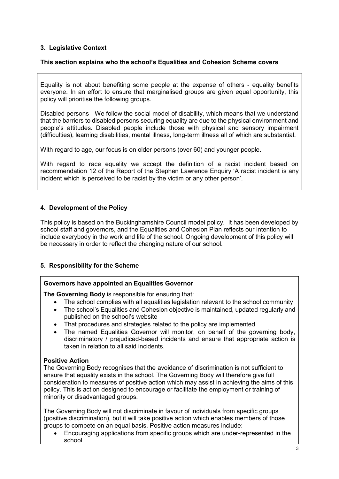# **3. Legislative Context**

# **This section explains who the school's Equalities and Cohesion Scheme covers**

Equality is not about benefiting some people at the expense of others - equality benefits everyone. In an effort to ensure that marginalised groups are given equal opportunity, this policy will prioritise the following groups.

Disabled persons - We follow the social model of disability, which means that we understand that the barriers to disabled persons securing equality are due to the physical environment and people's attitudes. Disabled people include those with physical and sensory impairment (difficulties), learning disabilities, mental illness, long-term illness all of which are substantial.

With regard to age, our focus is on older persons (over 60) and younger people.

With regard to race equality we accept the definition of a racist incident based on recommendation 12 of the Report of the Stephen Lawrence Enquiry 'A racist incident is any incident which is perceived to be racist by the victim or any other person'.

# **4. Development of the Policy**

This policy is based on the Buckinghamshire Council model policy. It has been developed by school staff and governors, and the Equalities and Cohesion Plan reflects our intention to include everybody in the work and life of the school. Ongoing development of this policy will be necessary in order to reflect the changing nature of our school.

# **5. Responsibility for the Scheme**

# **Governors have appointed an Equalities Governor**

**The Governing Body** is responsible for ensuring that:

- The school complies with all equalities legislation relevant to the school community
- The school's Equalities and Cohesion objective is maintained, updated regularly and published on the school's website
- That procedures and strategies related to the policy are implemented
- The named Equalities Governor will monitor, on behalf of the governing body, discriminatory / prejudiced-based incidents and ensure that appropriate action is taken in relation to all said incidents.

# **Positive Action**

The Governing Body recognises that the avoidance of discrimination is not sufficient to ensure that equality exists in the school. The Governing Body will therefore give full consideration to measures of positive action which may assist in achieving the aims of this policy. This is action designed to encourage or facilitate the employment or training of minority or disadvantaged groups.

The Governing Body will not discriminate in favour of individuals from specific groups (positive discrimination), but it will take positive action which enables members of those groups to compete on an equal basis. Positive action measures include:

 Encouraging applications from specific groups which are under-represented in the school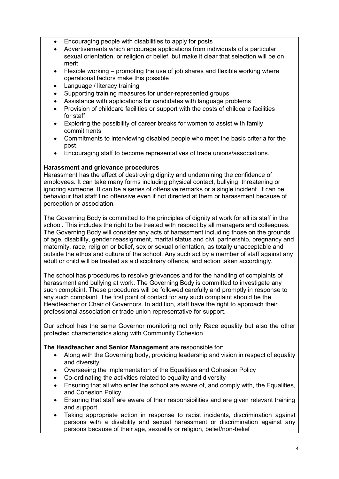- Encouraging people with disabilities to apply for posts
- Advertisements which encourage applications from individuals of a particular sexual orientation, or religion or belief, but make it clear that selection will be on merit
- Flexible working promoting the use of job shares and flexible working where operational factors make this possible
- Language / literacy training
- Supporting training measures for under-represented groups
- Assistance with applications for candidates with language problems
- Provision of childcare facilities or support with the costs of childcare facilities for staff
- Exploring the possibility of career breaks for women to assist with family commitments
- Commitments to interviewing disabled people who meet the basic criteria for the post
- Encouraging staff to become representatives of trade unions/associations.

# **Harassment and grievance procedures**

Harassment has the effect of destroying dignity and undermining the confidence of employees. It can take many forms including physical contact, bullying, threatening or ignoring someone. It can be a series of offensive remarks or a single incident. It can be behaviour that staff find offensive even if not directed at them or harassment because of perception or association.

The Governing Body is committed to the principles of dignity at work for all its staff in the school. This includes the right to be treated with respect by all managers and colleagues. The Governing Body will consider any acts of harassment including those on the grounds of age, disability, gender reassignment, marital status and civil partnership, pregnancy and maternity, race, religion or belief, sex or sexual orientation, as totally unacceptable and outside the ethos and culture of the school. Any such act by a member of staff against any adult or child will be treated as a disciplinary offence, and action taken accordingly.

The school has procedures to resolve grievances and for the handling of complaints of harassment and bullying at work. The Governing Body is committed to investigate any such complaint. These procedures will be followed carefully and promptly in response to any such complaint. The first point of contact for any such complaint should be the Headteacher or Chair of Governors. In addition, staff have the right to approach their professional association or trade union representative for support.

Our school has the same Governor monitoring not only Race equality but also the other protected characteristics along with Community Cohesion.

# **The Headteacher and Senior Management** are responsible for:

- Along with the Governing body, providing leadership and vision in respect of equality and diversity
- Overseeing the implementation of the Equalities and Cohesion Policy
- Co-ordinating the activities related to equality and diversity
- Ensuring that all who enter the school are aware of, and comply with, the Equalities, and Cohesion Policy
- Ensuring that staff are aware of their responsibilities and are given relevant training and support
- Taking appropriate action in response to racist incidents, discrimination against persons with a disability and sexual harassment or discrimination against any persons because of their age, sexuality or religion, belief/non-belief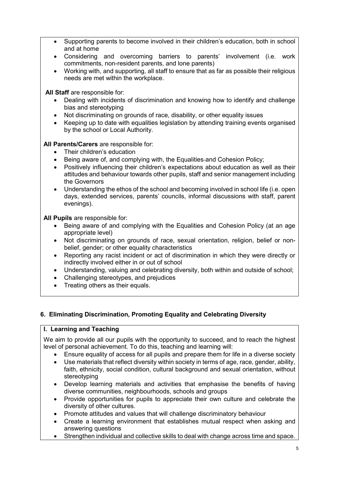- Supporting parents to become involved in their children's education, both in school and at home
- Considering and overcoming barriers to parents' involvement (i.e. work commitments, non-resident parents, and lone parents)
- Working with, and supporting, all staff to ensure that as far as possible their religious needs are met within the workplace.

**All Staff** are responsible for:

- Dealing with incidents of discrimination and knowing how to identify and challenge bias and stereotyping
- Not discriminating on grounds of race, disability, or other equality issues
- Keeping up to date with equalities legislation by attending training events organised by the school or Local Authority.

**All Parents/Carers** are responsible for:

- Their children's education
- Being aware of, and complying with, the Equalities-and Cohesion Policy;
- Positively influencing their children's expectations about education as well as their attitudes and behaviour towards other pupils, staff and senior management including the Governors
- Understanding the ethos of the school and becoming involved in school life (i.e. open days, extended services, parents' councils, informal discussions with staff, parent evenings).

**All Pupils** are responsible for:

- Being aware of and complying with the Equalities and Cohesion Policy (at an age appropriate level)
- Not discriminating on grounds of race, sexual orientation, religion, belief or nonbelief, gender; or other equality characteristics
- Reporting any racist incident or act of discrimination in which they were directly or indirectly involved either in or out of school
- Understanding, valuing and celebrating diversity, both within and outside of school;
- Challenging stereotypes, and prejudices
- Treating others as their equals.

# **6. Eliminating Discrimination, Promoting Equality and Celebrating Diversity**

# **I. Learning and Teaching**

We aim to provide all our pupils with the opportunity to succeed, and to reach the highest level of personal achievement. To do this, teaching and learning will:

- Ensure equality of access for all pupils and prepare them for life in a diverse society
- Use materials that reflect diversity within society in terms of age, race, gender, ability, faith, ethnicity, social condition, cultural background and sexual orientation, without stereotyping
- Develop learning materials and activities that emphasise the benefits of having diverse communities, neighbourhoods, schools and groups
- Provide opportunities for pupils to appreciate their own culture and celebrate the diversity of other cultures.
- Promote attitudes and values that will challenge discriminatory behaviour
- Create a learning environment that establishes mutual respect when asking and answering questions
- Strengthen individual and collective skills to deal with change across time and space.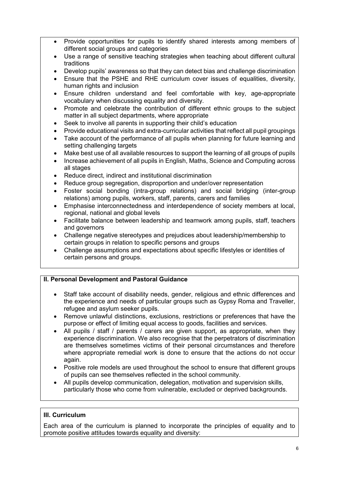- Provide opportunities for pupils to identify shared interests among members of different social groups and categories
- Use a range of sensitive teaching strategies when teaching about different cultural traditions
- Develop pupils' awareness so that they can detect bias and challenge discrimination
- Ensure that the PSHE and RHE curriculum cover issues of equalities, diversity, human rights and inclusion
- Ensure children understand and feel comfortable with key, age-appropriate vocabulary when discussing equality and diversity.
- Promote and celebrate the contribution of different ethnic groups to the subject matter in all subject departments, where appropriate
- Seek to involve all parents in supporting their child's education
- Provide educational visits and extra-curricular activities that reflect all pupil groupings
- Take account of the performance of all pupils when planning for future learning and setting challenging targets
- Make best use of all available resources to support the learning of all groups of pupils
- Increase achievement of all pupils in English, Maths, Science and Computing across all stages
- Reduce direct, indirect and institutional discrimination
- Reduce group segregation, disproportion and under/over representation
- Foster social bonding (intra-group relations) and social bridging (inter-group relations) among pupils, workers, staff, parents, carers and families
- Emphasise interconnectedness and interdependence of society members at local, regional, national and global levels
- Facilitate balance between leadership and teamwork among pupils, staff, teachers and governors
- Challenge negative stereotypes and prejudices about leadership/membership to certain groups in relation to specific persons and groups
- Challenge assumptions and expectations about specific lifestyles or identities of certain persons and groups.

# **II. Personal Development and Pastoral Guidance**

- Staff take account of disability needs, gender, religious and ethnic differences and the experience and needs of particular groups such as Gypsy Roma and Traveller, refugee and asylum seeker pupils.
- Remove unlawful distinctions, exclusions, restrictions or preferences that have the purpose or effect of limiting equal access to goods, facilities and services.
- All pupils / staff / parents / carers are given support, as appropriate, when they experience discrimination. We also recognise that the perpetrators of discrimination are themselves sometimes victims of their personal circumstances and therefore where appropriate remedial work is done to ensure that the actions do not occur again.
- Positive role models are used throughout the school to ensure that different groups of pupils can see themselves reflected in the school community.
- All pupils develop communication, delegation, motivation and supervision skills, particularly those who come from vulnerable, excluded or deprived backgrounds.

# **III. Curriculum**

Each area of the curriculum is planned to incorporate the principles of equality and to promote positive attitudes towards equality and diversity: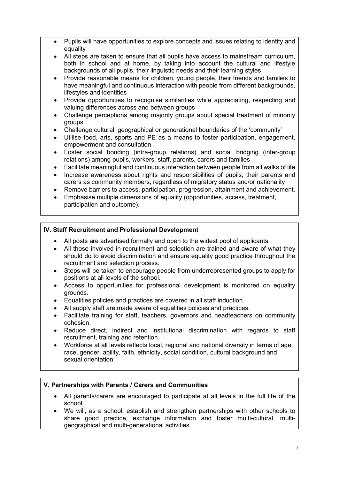- Pupils will have opportunities to explore concepts and issues relating to identity and equality
- All steps are taken to ensure that all pupils have access to mainstream curriculum, both in school and at home, by taking into account the cultural and lifestyle backgrounds of all pupils, their linguistic needs and their learning styles
- Provide reasonable means for children, young people, their friends and families to have meaningful and continuous interaction with people from different backgrounds, lifestyles and identities
- Provide opportunities to recognise similarities while appreciating, respecting and valuing differences across and between groups
- Challenge perceptions among majority groups about special treatment of minority groups
- Challenge cultural, geographical or generational boundaries of the 'community'
- Utilise food, arts, sports and PE as a means to foster participation, engagement, empowerment and consultation
- Foster social bonding (intra-group relations) and social bridging (inter-group relations) among pupils, workers, staff, parents, carers and families
- Facilitate meaningful and continuous interaction between people from all walks of life
- Increase awareness about rights and responsibilities of pupils, their parents and carers as community members, regardless of migratory status and/or nationality
- Remove barriers to access, participation, progression, attainment and achievement.
- Emphasise multiple dimensions of equality (opportunities, access, treatment, participation and outcome).

# **IV. Staff Recruitment and Professional Development**

- All posts are advertised formally and open to the widest pool of applicants.
- All those involved in recruitment and selection are trained and aware of what they should do to avoid discrimination and ensure equality good practice throughout the recruitment and selection process.
- Steps will be taken to encourage people from underrepresented groups to apply for positions at all levels of the school.
- Access to opportunities for professional development is monitored on equality grounds.
- Equalities policies and practices are covered in all staff induction.
- All supply staff are made aware of equalities policies and practices.
- Facilitate training for staff, teachers, governors and headteachers on community cohesion.
- Reduce direct, indirect and institutional discrimination with regards to staff recruitment, training and retention.
- Workforce at all levels reflects local, regional and national diversity in terms of age, race, gender, ability, faith, ethnicity, social condition, cultural background and sexual orientation.

# **V. Partnerships with Parents / Carers and Communities**

- All parents/carers are encouraged to participate at all levels in the full life of the school.
- We will, as a school, establish and strengthen partnerships with other schools to share good practice, exchange information and foster multi-cultural, multigeographical and multi-generational activities.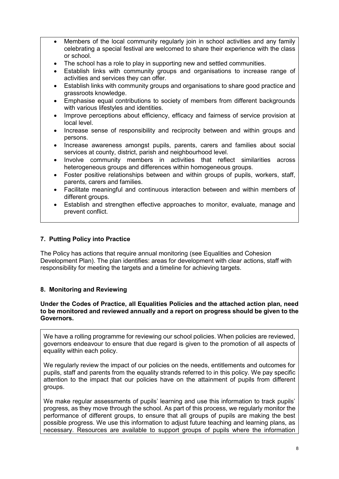- Members of the local community regularly join in school activities and any family celebrating a special festival are welcomed to share their experience with the class or school.
- The school has a role to play in supporting new and settled communities.
- Establish links with community groups and organisations to increase range of activities and services they can offer.
- Establish links with community groups and organisations to share good practice and grassroots knowledge.
- Emphasise equal contributions to society of members from different backgrounds with various lifestyles and identities.
- Improve perceptions about efficiency, efficacy and fairness of service provision at local level.
- Increase sense of responsibility and reciprocity between and within groups and persons.
- Increase awareness amongst pupils, parents, carers and families about social services at county, district, parish and neighbourhood level.
- Involve community members in activities that reflect similarities across heterogeneous groups and differences within homogeneous groups.
- Foster positive relationships between and within groups of pupils, workers, staff, parents, carers and families.
- Facilitate meaningful and continuous interaction between and within members of different groups.
- Establish and strengthen effective approaches to monitor, evaluate, manage and prevent conflict.

# **7. Putting Policy into Practice**

The Policy has actions that require annual monitoring (see Equalities and Cohesion Development Plan). The plan identifies: areas for development with clear actions, staff with responsibility for meeting the targets and a timeline for achieving targets.

# **8. Monitoring and Reviewing**

#### **Under the Codes of Practice, all Equalities Policies and the attached action plan, need to be monitored and reviewed annually and a report on progress should be given to the Governors.**

We have a rolling programme for reviewing our school policies. When policies are reviewed, governors endeavour to ensure that due regard is given to the promotion of all aspects of equality within each policy.

We regularly review the impact of our policies on the needs, entitlements and outcomes for pupils, staff and parents from the equality strands referred to in this policy. We pay specific attention to the impact that our policies have on the attainment of pupils from different groups.

We make regular assessments of pupils' learning and use this information to track pupils' progress, as they move through the school. As part of this process, we regularly monitor the performance of different groups, to ensure that all groups of pupils are making the best possible progress. We use this information to adjust future teaching and learning plans, as necessary. Resources are available to support groups of pupils where the information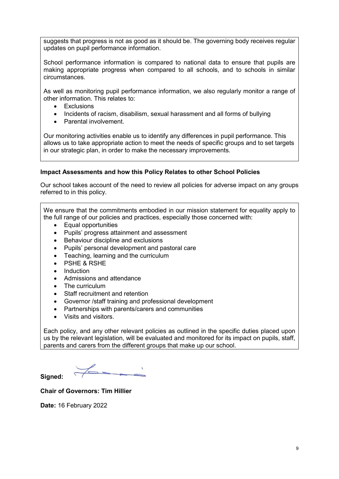suggests that progress is not as good as it should be. The governing body receives regular updates on pupil performance information.

School performance information is compared to national data to ensure that pupils are making appropriate progress when compared to all schools, and to schools in similar circumstances.

As well as monitoring pupil performance information, we also regularly monitor a range of other information. This relates to:

- **Exclusions**
- Incidents of racism, disabilism, sexual harassment and all forms of bullying
- Parental involvement.

Our monitoring activities enable us to identify any differences in pupil performance. This allows us to take appropriate action to meet the needs of specific groups and to set targets in our strategic plan, in order to make the necessary improvements.

# **Impact Assessments and how this Policy Relates to other School Policies**

Our school takes account of the need to review all policies for adverse impact on any groups referred to in this policy.

We ensure that the commitments embodied in our mission statement for equality apply to the full range of our policies and practices, especially those concerned with:

- Equal opportunities
- Pupils' progress attainment and assessment
- Behaviour discipline and exclusions
- Pupils' personal development and pastoral care
- Teaching, learning and the curriculum
- PSHE & RSHE
- Induction
- Admissions and attendance
- The curriculum
- Staff recruitment and retention
- Governor /staff training and professional development
- Partnerships with parents/carers and communities
- Visits and visitors.

Each policy, and any other relevant policies as outlined in the specific duties placed upon us by the relevant legislation, will be evaluated and monitored for its impact on pupils, staff, parents and carers from the different groups that make up our school.

**Signed:** 

**Chair of Governors: Tim Hillier** 

**Date:** 16 February 2022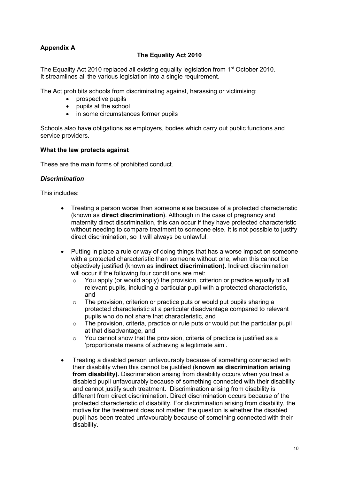# **Appendix A**

# **The Equality Act 2010**

The Equality Act 2010 replaced all existing equality legislation from 1<sup>st</sup> October 2010. It streamlines all the various legislation into a single requirement.

The Act prohibits schools from discriminating against, harassing or victimising:

- prospective pupils
- pupils at the school
- in some circumstances former pupils

Schools also have obligations as employers, bodies which carry out public functions and service providers.

#### **What the law protects against**

These are the main forms of prohibited conduct.

#### *Discrimination*

This includes:

- Treating a person worse than someone else because of a protected characteristic (known as **direct discrimination**). Although in the case of pregnancy and maternity direct discrimination, this can occur if they have protected characteristic without needing to compare treatment to someone else. It is not possible to justify direct discrimination, so it will always be unlawful.
- Putting in place a rule or way of doing things that has a worse impact on someone with a protected characteristic than someone without one, when this cannot be objectively justified (known as **indirect discrimination).** Indirect discrimination will occur if the following four conditions are met:
	- $\circ$  You apply (or would apply) the provision, criterion or practice equally to all relevant pupils, including a particular pupil with a protected characteristic, and
	- o The provision, criterion or practice puts or would put pupils sharing a protected characteristic at a particular disadvantage compared to relevant pupils who do not share that characteristic, and
	- $\circ$  The provision, criteria, practice or rule puts or would put the particular pupil at that disadvantage, and
	- o You cannot show that the provision, criteria of practice is justified as a 'proportionate means of achieving a legitimate aim'.
- Treating a disabled person unfavourably because of something connected with their disability when this cannot be justified (**known as discrimination arising from disability).** Discrimination arising from disability occurs when you treat a disabled pupil unfavourably because of something connected with their disability and cannot justify such treatment. Discrimination arising from disability is different from direct discrimination. Direct discrimination occurs because of the protected characteristic of disability. For discrimination arising from disability, the motive for the treatment does not matter; the question is whether the disabled pupil has been treated unfavourably because of something connected with their disability.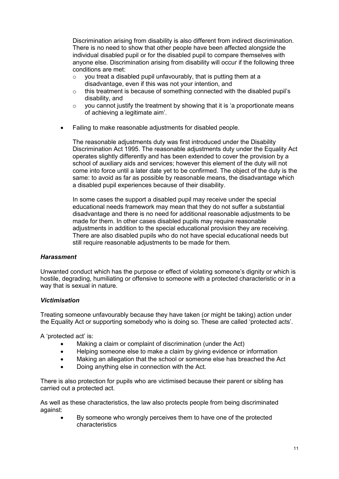Discrimination arising from disability is also different from indirect discrimination. There is no need to show that other people have been affected alongside the individual disabled pupil or for the disabled pupil to compare themselves with anyone else. Discrimination arising from disability will occur if the following three conditions are met:

- $\circ$  you treat a disabled pupil unfavourably, that is putting them at a disadvantage, even if this was not your intention, and
- $\circ$  this treatment is because of something connected with the disabled pupil's disability, and
- $\circ$  vou cannot justify the treatment by showing that it is 'a proportionate means of achieving a legitimate aim'.
- Failing to make reasonable adjustments for disabled people.

The reasonable adjustments duty was first introduced under the Disability Discrimination Act 1995. The reasonable adjustments duty under the Equality Act operates slightly differently and has been extended to cover the provision by a school of auxiliary aids and services; however this element of the duty will not come into force until a later date yet to be confirmed. The object of the duty is the same: to avoid as far as possible by reasonable means, the disadvantage which a disabled pupil experiences because of their disability.

In some cases the support a disabled pupil may receive under the special educational needs framework may mean that they do not suffer a substantial disadvantage and there is no need for additional reasonable adjustments to be made for them. In other cases disabled pupils may require reasonable adjustments in addition to the special educational provision they are receiving. There are also disabled pupils who do not have special educational needs but still require reasonable adjustments to be made for them.

# *Harassment*

Unwanted conduct which has the purpose or effect of violating someone's dignity or which is hostile, degrading, humiliating or offensive to someone with a protected characteristic or in a way that is sexual in nature.

# *Victimisation*

Treating someone unfavourably because they have taken (or might be taking) action under the Equality Act or supporting somebody who is doing so. These are called 'protected acts'.

A 'protected act' is:

- Making a claim or complaint of discrimination (under the Act)
- Helping someone else to make a claim by giving evidence or information
- Making an allegation that the school or someone else has breached the Act
- Doing anything else in connection with the Act.

There is also protection for pupils who are victimised because their parent or sibling has carried out a protected act.

As well as these characteristics, the law also protects people from being discriminated against:

 By someone who wrongly perceives them to have one of the protected characteristics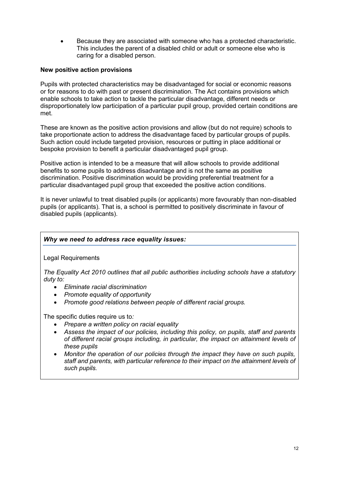Because they are associated with someone who has a protected characteristic. This includes the parent of a disabled child or adult or someone else who is caring for a disabled person.

# **New positive action provisions**

Pupils with protected characteristics may be disadvantaged for social or economic reasons or for reasons to do with past or present discrimination. The Act contains provisions which enable schools to take action to tackle the particular disadvantage, different needs or disproportionately low participation of a particular pupil group, provided certain conditions are met.

These are known as the positive action provisions and allow (but do not require) schools to take proportionate action to address the disadvantage faced by particular groups of pupils. Such action could include targeted provision, resources or putting in place additional or bespoke provision to benefit a particular disadvantaged pupil group.

Positive action is intended to be a measure that will allow schools to provide additional benefits to some pupils to address disadvantage and is not the same as positive discrimination. Positive discrimination would be providing preferential treatment for a particular disadvantaged pupil group that exceeded the positive action conditions.

It is never unlawful to treat disabled pupils (or applicants) more favourably than non-disabled pupils (or applicants). That is, a school is permitted to positively discriminate in favour of disabled pupils (applicants).

# *Why we need to address race equality issues:*

Legal Requirements

*The Equality Act 2010 outlines that all public authorities including schools have a statutory duty to:*

- *Eliminate racial discrimination*
- *Promote equality of opportunity*
- *Promote good relations between people of different racial groups.*

The specific duties require us to*:*

- *Prepare a written policy on racial equality*
- *Assess the impact of our policies, including this policy, on pupils, staff and parents of different racial groups including, in particular, the impact on attainment levels of these pupils*
- *Monitor the operation of our policies through the impact they have on such pupils, staff and parents, with particular reference to their impact on the attainment levels of such pupils.*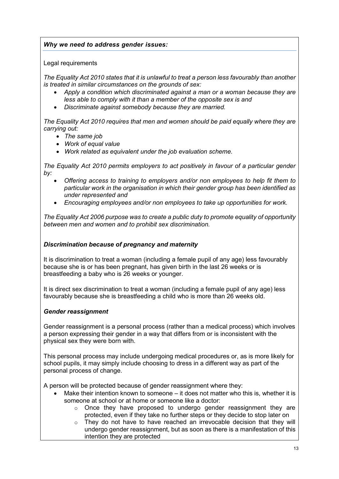# *Why we need to address gender issues:*

# Legal requirements

*The Equality Act 2010 states that it is unlawful to treat a person less favourably than another is treated in similar circumstances on the grounds of sex:*

- *Apply a condition which discriminated against a man or a woman because they are less able to comply with it than a member of the opposite sex is and*
- *Discriminate against somebody because they are married.*

*The Equality Act 2010 requires that men and women should be paid equally where they are carrying out:*

- *The same job*
- *Work of equal value*
- *Work related as equivalent under the job evaluation scheme.*

*The Equality Act 2010 permits employers to act positively in favour of a particular gender by:* 

- *Offering access to training to employers and/or non employees to help fit them to particular work in the organisation in which their gender group has been identified as under represented and*
- *Encouraging employees and/or non employees to take up opportunities for work.*

*The Equality Act 2006 purpose was to create a public duty to promote equality of opportunity between men and women and to prohibit sex discrimination.*

# *Discrimination because of pregnancy and maternity*

It is discrimination to treat a woman (including a female pupil of any age) less favourably because she is or has been pregnant, has given birth in the last 26 weeks or is breastfeeding a baby who is 26 weeks or younger.

It is direct sex discrimination to treat a woman (including a female pupil of any age) less favourably because she is breastfeeding a child who is more than 26 weeks old.

# *Gender reassignment*

Gender reassignment is a personal process (rather than a medical process) which involves a person expressing their gender in a way that differs from or is inconsistent with the physical sex they were born with.

This personal process may include undergoing medical procedures or, as is more likely for school pupils, it may simply include choosing to dress in a different way as part of the personal process of change.

A person will be protected because of gender reassignment where they:

- Make their intention known to someone it does not matter who this is, whether it is someone at school or at home or someone like a doctor:
	- $\circ$  Once they have proposed to undergo gender reassignment they are protected, even if they take no further steps or they decide to stop later on
	- $\circ$  They do not have to have reached an irrevocable decision that they will undergo gender reassignment, but as soon as there is a manifestation of this intention they are protected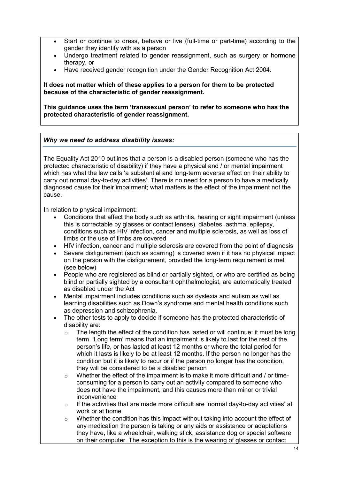- Start or continue to dress, behave or live (full-time or part-time) according to the gender they identify with as a person
- Undergo treatment related to gender reassignment, such as surgery or hormone therapy, or
- Have received gender recognition under the Gender Recognition Act 2004.

**It does not matter which of these applies to a person for them to be protected because of the characteristic of gender reassignment.**

**This guidance uses the term 'transsexual person' to refer to someone who has the protected characteristic of gender reassignment.**

# *Why we need to address disability issues:*

The Equality Act 2010 outlines that a person is a disabled person (someone who has the protected characteristic of disability) if they have a physical and / or mental impairment which has what the law calls 'a substantial and long-term adverse effect on their ability to carry out normal day-to-day activities'. There is no need for a person to have a medically diagnosed cause for their impairment; what matters is the effect of the impairment not the cause.

In relation to physical impairment:

- Conditions that affect the body such as arthritis, hearing or sight impairment (unless this is correctable by glasses or contact lenses), diabetes, asthma, epilepsy, conditions such as HIV infection, cancer and multiple sclerosis, as well as loss of limbs or the use of limbs are covered
- HIV infection, cancer and multiple sclerosis are covered from the point of diagnosis
- Severe disfigurement (such as scarring) is covered even if it has no physical impact on the person with the disfigurement, provided the long-term requirement is met (see below)
- People who are registered as blind or partially sighted, or who are certified as being blind or partially sighted by a consultant ophthalmologist, are automatically treated as disabled under the Act
- Mental impairment includes conditions such as dyslexia and autism as well as learning disabilities such as Down's syndrome and mental health conditions such as depression and schizophrenia.
- The other tests to apply to decide if someone has the protected characteristic of disability are:
	- $\circ$  The length the effect of the condition has lasted or will continue: it must be long term. 'Long term' means that an impairment is likely to last for the rest of the person's life, or has lasted at least 12 months or where the total period for which it lasts is likely to be at least 12 months. If the person no longer has the condition but it is likely to recur or if the person no longer has the condition, they will be considered to be a disabled person
	- $\circ$  Whether the effect of the impairment is to make it more difficult and / or timeconsuming for a person to carry out an activity compared to someone who does not have the impairment, and this causes more than minor or trivial inconvenience
	- $\circ$  If the activities that are made more difficult are 'normal day-to-day activities' at work or at home
	- $\circ$  Whether the condition has this impact without taking into account the effect of any medication the person is taking or any aids or assistance or adaptations they have, like a wheelchair, walking stick, assistance dog or special software on their computer. The exception to this is the wearing of glasses or contact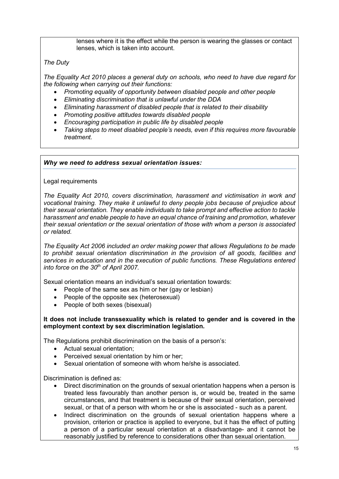lenses where it is the effect while the person is wearing the glasses or contact lenses, which is taken into account.

# *The Duty*

*The Equality Act 2010 places a general duty on schools, who need to have due regard for the following when carrying out their functions:*

- *Promoting equality of opportunity between disabled people and other people*
- *Eliminating discrimination that is unlawful under the DDA*
- *Eliminating harassment of disabled people that is related to their disability*
- *Promoting positive attitudes towards disabled people*
- *Encouraging participation in public life by disabled people*
- *Taking steps to meet disabled people's needs, even if this requires more favourable treatment.*

# *Why we need to address sexual orientation issues:*

# Legal requirements

*The Equality Act 2010, covers discrimination, harassment and victimisation in work and vocational training. They make it unlawful to deny people jobs because of prejudice about their sexual orientation. They enable individuals to take prompt and effective action to tackle harassment and enable people to have an equal chance of training and promotion, whatever their sexual orientation or the sexual orientation of those with whom a person is associated or related.*

*The Equality Act 2006 included an order making power that allows Regulations to be made to prohibit sexual orientation discrimination in the provision of all goods, facilities and services in education and in the execution of public functions. These Regulations entered into force on the 30th of April 2007.*

Sexual orientation means an individual's sexual orientation towards:

- People of the same sex as him or her (gay or lesbian)
- People of the opposite sex (heterosexual)
- People of both sexes (bisexual)

#### **It does not include transsexuality which is related to gender and is covered in the employment context by sex discrimination legislation.**

The Regulations prohibit discrimination on the basis of a person's:

- Actual sexual orientation;
- Perceived sexual orientation by him or her;
- Sexual orientation of someone with whom he/she is associated.

Discrimination is defined as:

- Direct discrimination on the grounds of sexual orientation happens when a person is treated less favourably than another person is, or would be, treated in the same circumstances, and that treatment is because of their sexual orientation, perceived sexual, or that of a person with whom he or she is associated - such as a parent.
- Indirect discrimination on the grounds of sexual orientation happens where a provision, criterion or practice is applied to everyone, but it has the effect of putting a person of a particular sexual orientation at a disadvantage- and it cannot be reasonably justified by reference to considerations other than sexual orientation.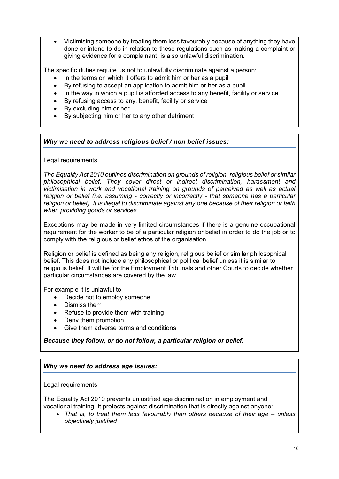Victimising someone by treating them less favourably because of anything they have done or intend to do in relation to these regulations such as making a complaint or giving evidence for a complainant, is also unlawful discrimination.

The specific duties require us not to unlawfully discriminate against a person:

- In the terms on which it offers to admit him or her as a pupil
- By refusing to accept an application to admit him or her as a pupil
- In the way in which a pupil is afforded access to any benefit, facility or service
- By refusing access to any, benefit, facility or service
- By excluding him or her
- By subjecting him or her to any other detriment

# *Why we need to address religious belief / non belief issues:*

# Legal requirements

*The Equality Act 2010 outlines discrimination on grounds of religion, religious belief or similar philosophical belief. They cover direct or indirect discrimination, harassment and victimisation in work and vocational training on grounds of perceived as well as actual religion or belief (i.e. assuming - correctly or incorrectly - that someone has a particular religion or belief). It is illegal to discriminate against any one because of their religion or faith when providing goods or services.* 

Exceptions may be made in very limited circumstances if there is a genuine occupational requirement for the worker to be of a particular religion or belief in order to do the job or to comply with the religious or belief ethos of the organisation

Religion or belief is defined as being any religion, religious belief or similar philosophical belief. This does not include any philosophical or political belief unless it is similar to religious belief. It will be for the Employment Tribunals and other Courts to decide whether particular circumstances are covered by the law

For example it is unlawful to:

- Decide not to employ someone
- Dismiss them
- Refuse to provide them with training
- Deny them promotion
- Give them adverse terms and conditions.

# *Because they follow, or do not follow, a particular religion or belief.*

# *Why we need to address age issues:*

# Legal requirements

The Equality Act 2010 prevents unjustified age discrimination in employment and vocational training. It protects against discrimination that is directly against anyone:

• That is, to treat them less favourably than others because of their age – *unless objectively justified*